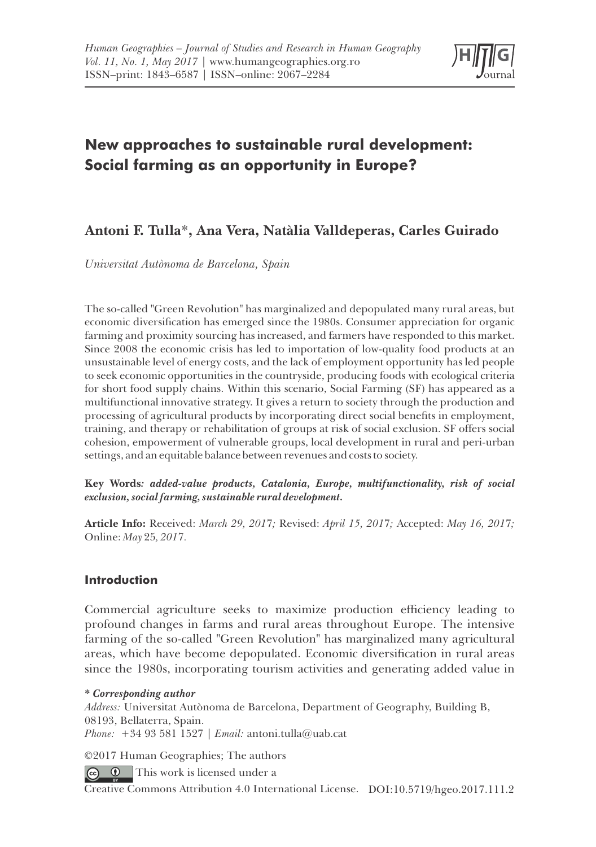

# **New approaches to sustainable rural development: Social farming as an opportunity in Europe?**

# **Antoni F. Tulla**\***, Ana Vera, Natàlia Valldeperas, Carles Guirado**

*Universitat Autònoma de Barcelona, Spain*

The so-called "Green Revolution" has marginalized and depopulated many rural areas, but economic diversification has emerged since the 1980s. Consumer appreciation for organic farming and proximity sourcing has increased, and farmers have responded to this market. Since 2008 the economic crisis has led to importation of low-quality food products at an unsustainable level of energy costs, and the lack of employment opportunity has led people to seek economic opportunities in the countryside, producing foods with ecological criteria for short food supply chains. Within this scenario, Social Farming (SF) has appeared as a multifunctional innovative strategy. It gives a return to society through the production and processing of agricultural products by incorporating direct social benets in employment, training, and therapy or rehabilitation of groups at risk of social exclusion. SF offers social cohesion, empowerment of vulnerable groups, local development in rural and peri-urban settings, and an equitable balance between revenues and costs to society.

**Key Words***: added-value products, Catalonia, Europe, multifunctionality, risk of social exclusion, social farming, sustainable rural development.*

**Article Info:** Received: *March 29, 201*7*;* Revised: *April 15, 201*7*;* Accepted: *May 16, 201*7*;*  Online: *May* 25*, 201*7*.*

# **Introduction**

Commercial agriculture seeks to maximize production efficiency leading to profound changes in farms and rural areas throughout Europe. The intensive farming of the so-called "Green Revolution" has marginalized many agricultural areas, which have become depopulated. Economic diversification in rural areas since the 1980s, incorporating tourism activities and generating added value in

#### *\* Corresponding author*

*Address:* Universitat Autònoma de Barcelona, Department of Geography, Building B, 08193, Bellaterra, Spain. *Phone:* +34 93 581 1527 *| Email:* antoni.tulla@uab.cat

©2017 Human Geographies; The authors

 $\bullet$  This work is licensed under a

Creative Commons Attribution 4.0 International License. DOI:10.5719/hgeo.2017.111.2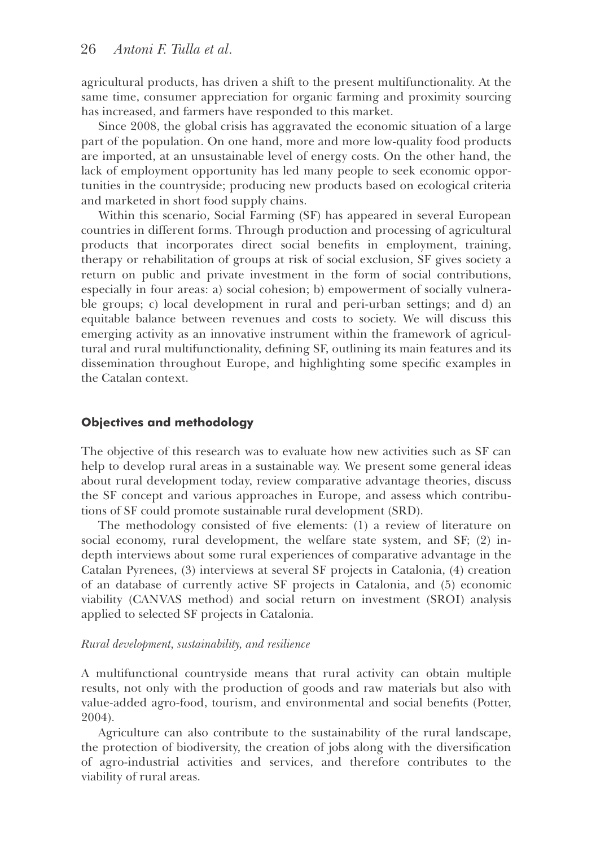agricultural products, has driven a shift to the present multifunctionality. At the same time, consumer appreciation for organic farming and proximity sourcing has increased, and farmers have responded to this market.

Since 2008, the global crisis has aggravated the economic situation of a large part of the population. On one hand, more and more low-quality food products are imported, at an unsustainable level of energy costs. On the other hand, the lack of employment opportunity has led many people to seek economic opportunities in the countryside; producing new products based on ecological criteria and marketed in short food supply chains.

Within this scenario, Social Farming (SF) has appeared in several European countries in different forms. Through production and processing of agricultural products that incorporates direct social benefits in employment, training, therapy or rehabilitation of groups at risk of social exclusion, SF gives society a return on public and private investment in the form of social contributions, especially in four areas: a) social cohesion; b) empowerment of socially vulnerable groups; c) local development in rural and peri-urban settings; and d) an equitable balance between revenues and costs to society. We will discuss this emerging activity as an innovative instrument within the framework of agricultural and rural multifunctionality, defining SF, outlining its main features and its dissemination throughout Europe, and highlighting some specific examples in the Catalan context.

# **Objectives and methodology**

The objective of this research was to evaluate how new activities such as SF can help to develop rural areas in a sustainable way. We present some general ideas about rural development today, review comparative advantage theories, discuss the SF concept and various approaches in Europe, and assess which contributions of SF could promote sustainable rural development (SRD).

The methodology consisted of five elements:  $(1)$  a review of literature on social economy, rural development, the welfare state system, and SF; (2) indepth interviews about some rural experiences of comparative advantage in the Catalan Pyrenees, (3) interviews at several SF projects in Catalonia, (4) creation of an database of currently active SF projects in Catalonia, and (5) economic viability (CANVAS method) and social return on investment (SROI) analysis applied to selected SF projects in Catalonia.

#### *Rural development, sustainability, and resilience*

A multifunctional countryside means that rural activity can obtain multiple results, not only with the production of goods and raw materials but also with value-added agro-food, tourism, and environmental and social benets (Potter, 2004).

Agriculture can also contribute to the sustainability of the rural landscape, the protection of biodiversity, the creation of jobs along with the diversification of agro-industrial activities and services, and therefore contributes to the viability of rural areas.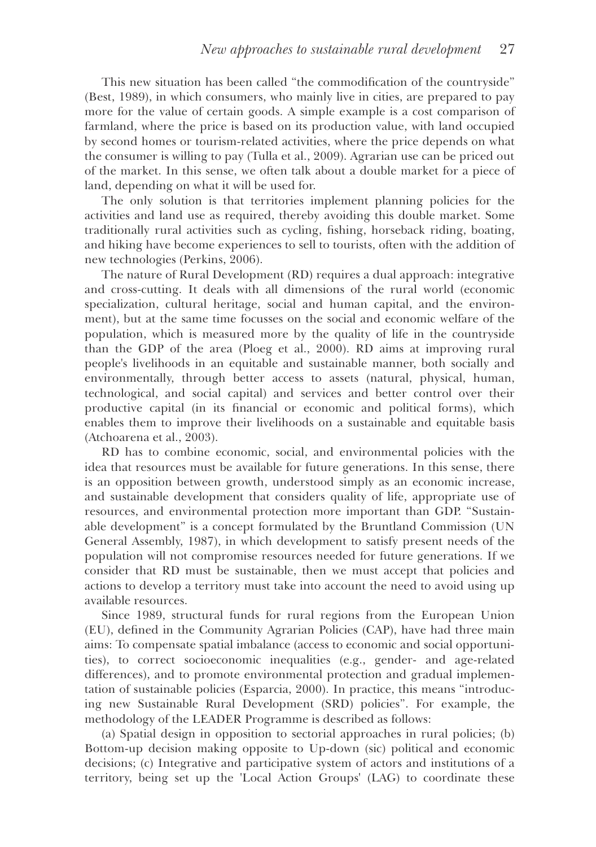This new situation has been called "the commodification of the countryside" (Best, 1989), in which consumers, who mainly live in cities, are prepared to pay more for the value of certain goods. A simple example is a cost comparison of farmland, where the price is based on its production value, with land occupied by second homes or tourism-related activities, where the price depends on what the consumer is willing to pay (Tulla et al., 2009). Agrarian use can be priced out of the market. In this sense, we often talk about a double market for a piece of land, depending on what it will be used for.

The only solution is that territories implement planning policies for the activities and land use as required, thereby avoiding this double market. Some traditionally rural activities such as cycling, fishing, horseback riding, boating, and hiking have become experiences to sell to tourists, often with the addition of new technologies (Perkins, 2006).

The nature of Rural Development (RD) requires a dual approach: integrative and cross-cutting. It deals with all dimensions of the rural world (economic specialization, cultural heritage, social and human capital, and the environment), but at the same time focusses on the social and economic welfare of the population, which is measured more by the quality of life in the countryside than the GDP of the area (Ploeg et al., 2000). RD aims at improving rural people's livelihoods in an equitable and sustainable manner, both socially and environmentally, through better access to assets (natural, physical, human, technological, and social capital) and services and better control over their productive capital (in its financial or economic and political forms), which enables them to improve their livelihoods on a sustainable and equitable basis (Atchoarena et al., 2003).

RD has to combine economic, social, and environmental policies with the idea that resources must be available for future generations. In this sense, there is an opposition between growth, understood simply as an economic increase, and sustainable development that considers quality of life, appropriate use of resources, and environmental protection more important than GDP. "Sustainable development" is a concept formulated by the Bruntland Commission (UN General Assembly, 1987), in which development to satisfy present needs of the population will not compromise resources needed for future generations. If we consider that RD must be sustainable, then we must accept that policies and actions to develop a territory must take into account the need to avoid using up available resources.

Since 1989, structural funds for rural regions from the European Union (EU), defined in the Community Agrarian Policies (CAP), have had three main aims: To compensate spatial imbalance (access to economic and social opportunities), to correct socioeconomic inequalities (e.g., gender- and age-related differences), and to promote environmental protection and gradual implementation of sustainable policies (Esparcia, 2000). In practice, this means "introducing new Sustainable Rural Development (SRD) policies". For example, the methodology of the LEADER Programme is described as follows:

(a) Spatial design in opposition to sectorial approaches in rural policies; (b) Bottom-up decision making opposite to Up-down (sic) political and economic decisions; (c) Integrative and participative system of actors and institutions of a territory, being set up the 'Local Action Groups' (LAG) to coordinate these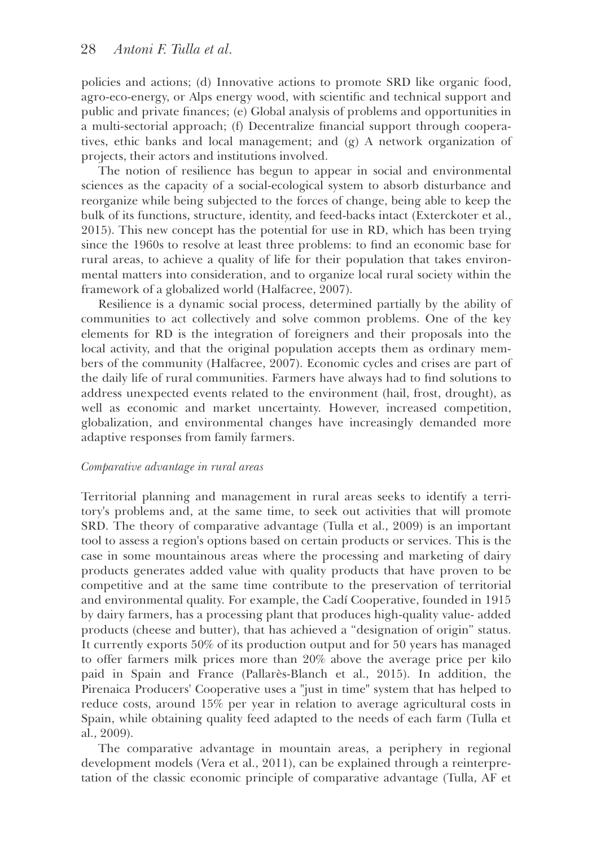policies and actions; (d) Innovative actions to promote SRD like organic food, agro-eco-energy, or Alps energy wood, with scientific and technical support and public and private nances; (e) Global analysis of problems and opportunities in a multi-sectorial approach; (f) Decentralize financial support through cooperatives, ethic banks and local management; and (g) A network organization of projects, their actors and institutions involved.

The notion of resilience has begun to appear in social and environmental sciences as the capacity of a social-ecological system to absorb disturbance and reorganize while being subjected to the forces of change, being able to keep the bulk of its functions, structure, identity, and feed-backs intact (Exterckoter et al., 2015). This new concept has the potential for use in RD, which has been trying since the 1960s to resolve at least three problems: to find an economic base for rural areas, to achieve a quality of life for their population that takes environmental matters into consideration, and to organize local rural society within the framework of a globalized world (Halfacree, 2007).

Resilience is a dynamic social process, determined partially by the ability of communities to act collectively and solve common problems. One of the key elements for RD is the integration of foreigners and their proposals into the local activity, and that the original population accepts them as ordinary members of the community (Halfacree, 2007). Economic cycles and crises are part of the daily life of rural communities. Farmers have always had to find solutions to address unexpected events related to the environment (hail, frost, drought), as well as economic and market uncertainty. However, increased competition, globalization, and environmental changes have increasingly demanded more adaptive responses from family farmers.

#### *Comparative advantage in rural areas*

Territorial planning and management in rural areas seeks to identify a territory's problems and, at the same time, to seek out activities that will promote SRD. The theory of comparative advantage (Tulla et al., 2009) is an important tool to assess a region's options based on certain products or services. This is the case in some mountainous areas where the processing and marketing of dairy products generates added value with quality products that have proven to be competitive and at the same time contribute to the preservation of territorial and environmental quality. For example, the Cadí Cooperative, founded in 1915 by dairy farmers, has a processing plant that produces high-quality value- added products (cheese and butter), that has achieved a "designation of origin" status. It currently exports 50% of its production output and for 50 years has managed to offer farmers milk prices more than 20% above the average price per kilo paid in Spain and France (Pallarès-Blanch et al., 2015). In addition, the Pirenaica Producers' Cooperative uses a "just in time" system that has helped to reduce costs, around 15% per year in relation to average agricultural costs in Spain, while obtaining quality feed adapted to the needs of each farm (Tulla et al., 2009).

The comparative advantage in mountain areas, a periphery in regional development models (Vera et al., 2011), can be explained through a reinterpretation of the classic economic principle of comparative advantage (Tulla, AF et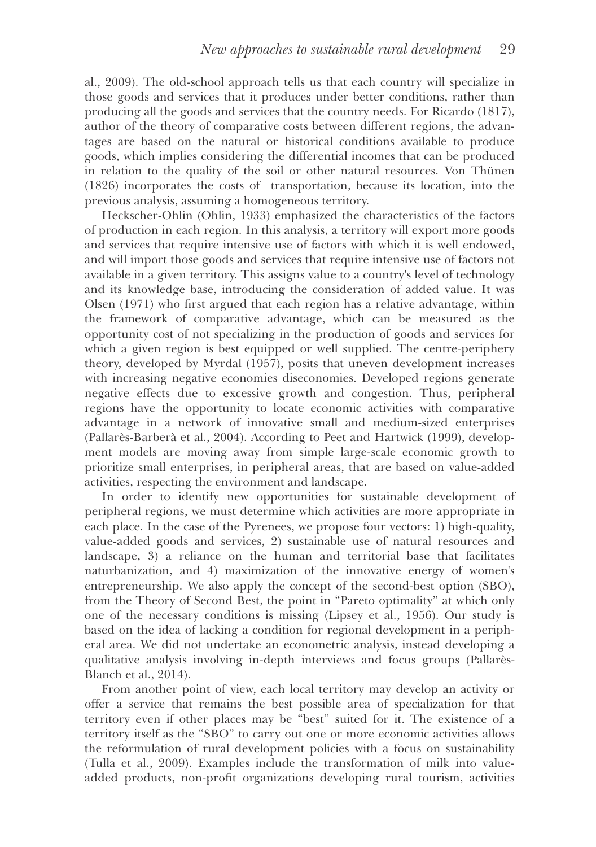al., 2009). The old-school approach tells us that each country will specialize in those goods and services that it produces under better conditions, rather than producing all the goods and services that the country needs. For Ricardo (1817), author of the theory of comparative costs between different regions, the advantages are based on the natural or historical conditions available to produce goods, which implies considering the differential incomes that can be produced in relation to the quality of the soil or other natural resources. Von Thünen (1826) incorporates the costs of transportation, because its location, into the previous analysis, assuming a homogeneous territory.

Heckscher-Ohlin (Ohlin, 1933) emphasized the characteristics of the factors of production in each region. In this analysis, a territory will export more goods and services that require intensive use of factors with which it is well endowed, and will import those goods and services that require intensive use of factors not available in a given territory. This assigns value to a country's level of technology and its knowledge base, introducing the consideration of added value. It was Olsen  $(1971)$  who first argued that each region has a relative advantage, within the framework of comparative advantage, which can be measured as the opportunity cost of not specializing in the production of goods and services for which a given region is best equipped or well supplied. The centre-periphery theory, developed by Myrdal (1957), posits that uneven development increases with increasing negative economies diseconomies. Developed regions generate negative effects due to excessive growth and congestion. Thus, peripheral regions have the opportunity to locate economic activities with comparative advantage in a network of innovative small and medium-sized enterprises (Pallarès-Barberà et al., 2004). According to Peet and Hartwick (1999), development models are moving away from simple large-scale economic growth to prioritize small enterprises, in peripheral areas, that are based on value-added activities, respecting the environment and landscape.

In order to identify new opportunities for sustainable development of peripheral regions, we must determine which activities are more appropriate in each place. In the case of the Pyrenees, we propose four vectors: 1) high-quality, value-added goods and services, 2) sustainable use of natural resources and landscape, 3) a reliance on the human and territorial base that facilitates naturbanization, and 4) maximization of the innovative energy of women's entrepreneurship. We also apply the concept of the second-best option (SBO), from the Theory of Second Best, the point in "Pareto optimality" at which only one of the necessary conditions is missing (Lipsey et al., 1956). Our study is based on the idea of lacking a condition for regional development in a peripheral area. We did not undertake an econometric analysis, instead developing a qualitative analysis involving in-depth interviews and focus groups (Pallarès-Blanch et al., 2014).

From another point of view, each local territory may develop an activity or offer a service that remains the best possible area of specialization for that territory even if other places may be "best" suited for it. The existence of a territory itself as the "SBO" to carry out one or more economic activities allows the reformulation of rural development policies with a focus on sustainability (Tulla et al., 2009). Examples include the transformation of milk into valueadded products, non-profit organizations developing rural tourism, activities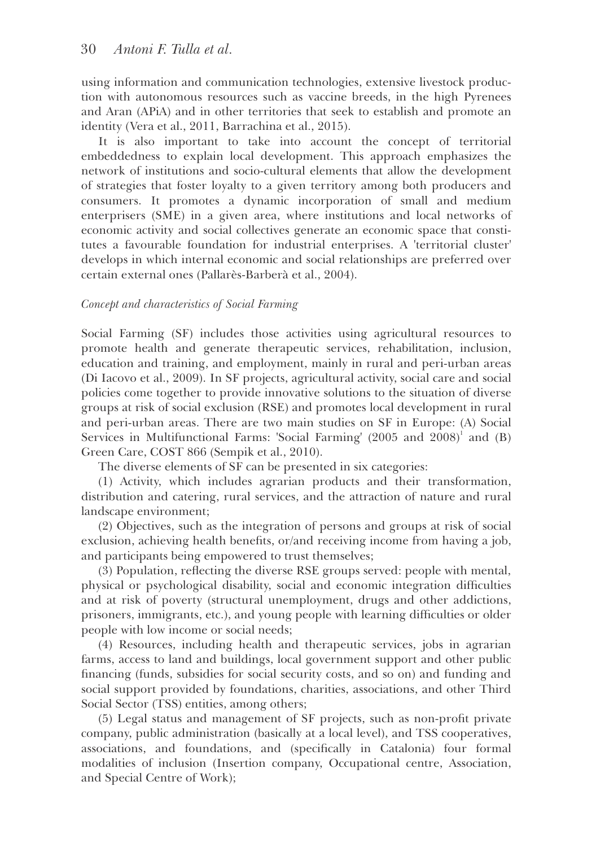using information and communication technologies, extensive livestock production with autonomous resources such as vaccine breeds, in the high Pyrenees and Aran (APiA) and in other territories that seek to establish and promote an identity (Vera et al., 2011, Barrachina et al., 2015).

It is also important to take into account the concept of territorial embeddedness to explain local development. This approach emphasizes the network of institutions and socio-cultural elements that allow the development of strategies that foster loyalty to a given territory among both producers and consumers. It promotes a dynamic incorporation of small and medium enterprisers (SME) in a given area, where institutions and local networks of economic activity and social collectives generate an economic space that constitutes a favourable foundation for industrial enterprises. A 'territorial cluster' develops in which internal economic and social relationships are preferred over certain external ones (Pallarès-Barberà et al., 2004).

#### *Concept and characteristics of Social Farming*

Social Farming (SF) includes those activities using agricultural resources to promote health and generate therapeutic services, rehabilitation, inclusion, education and training, and employment, mainly in rural and peri-urban areas (Di Iacovo et al., 2009). In SF projects, agricultural activity, social care and social policies come together to provide innovative solutions to the situation of diverse groups at risk of social exclusion (RSE) and promotes local development in rural and peri-urban areas. There are two main studies on SF in Europe: (A) Social Services in Multifunctional Farms: 'Social Farming' (2005 and 2008)<sup>1</sup> and (B) Green Care, COST 866 (Sempik et al., 2010).

The diverse elements of SF can be presented in six categories:

(1) Activity, which includes agrarian products and their transformation, distribution and catering, rural services, and the attraction of nature and rural landscape environment;

(2) Objectives, such as the integration of persons and groups at risk of social exclusion, achieving health benefits, or/and receiving income from having a job, and participants being empowered to trust themselves;

(3) Population, reflecting the diverse RSE groups served: people with mental, physical or psychological disability, social and economic integration difculties and at risk of poverty (structural unemployment, drugs and other addictions, prisoners, immigrants, etc.), and young people with learning difficulties or older people with low income or social needs;

(4) Resources, including health and therapeutic services, jobs in agrarian farms, access to land and buildings, local government support and other public nancing (funds, subsidies for social security costs, and so on) and funding and social support provided by foundations, charities, associations, and other Third Social Sector (TSS) entities, among others;

(5) Legal status and management of SF projects, such as non-profit private company, public administration (basically at a local level), and TSS cooperatives, associations, and foundations, and (specifically in Catalonia) four formal modalities of inclusion (Insertion company, Occupational centre, Association, and Special Centre of Work);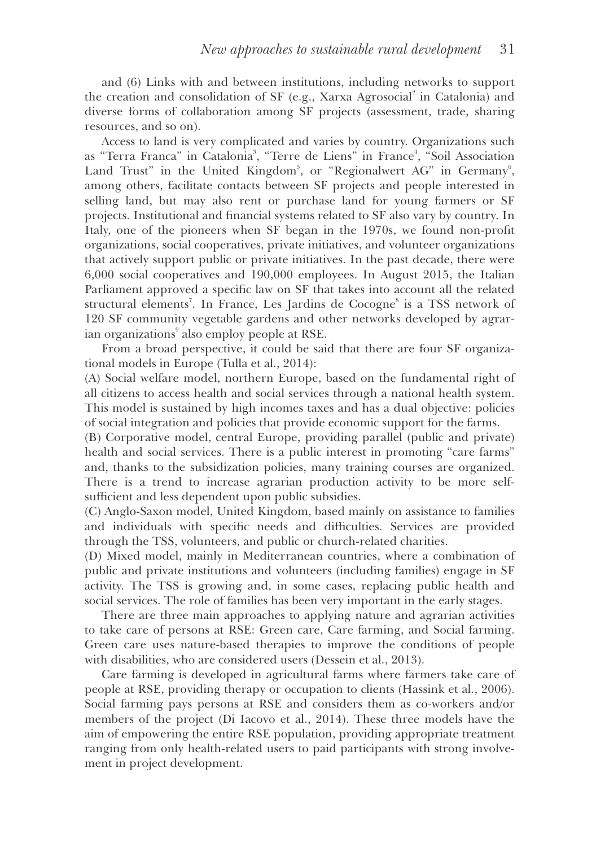and (6) Links with and between institutions, including networks to support the creation and consolidation of SF (e.g., Xarxa Agrosocial<sup>2</sup> in Catalonia) and diverse forms of collaboration among SF projects (assessment, trade, sharing resources, and so on).

Access to land is very complicated and varies by country. Organizations such as "Terra Franca" in Catalonia<sup>3</sup>, "Terre de Liens" in France<sup>4</sup>, "Soil Association Land Trust" in the United Kingdom<sup>5</sup>, or "Regionalwert AG" in Germany<sup>6</sup>, among others, facilitate contacts between SF projects and people interested in selling land, but may also rent or purchase land for young farmers or SF projects. Institutional and financial systems related to SF also vary by country. In Italy, one of the pioneers when SF began in the 1970s, we found non-prot organizations, social cooperatives, private initiatives, and volunteer organizations that actively support public or private initiatives. In the past decade, there were 6,000 social cooperatives and 190,000 employees. In August 2015, the Italian Parliament approved a specific law on SF that takes into account all the related structural elements<sup>7</sup>. In France, Les Jardins de Cocogne<sup>8</sup> is a TSS network of 120 SF community vegetable gardens and other networks developed by agrarian organizations $^\circ$  also employ people at RSE.

From a broad perspective, it could be said that there are four SF organizational models in Europe (Tulla et al., 2014):

(A) Social welfare model, northern Europe, based on the fundamental right of all citizens to access health and social services through a national health system. This model is sustained by high incomes taxes and has a dual objective: policies of social integration and policies that provide economic support for the farms.

(B) Corporative model, central Europe, providing parallel (public and private) health and social services. There is a public interest in promoting "care farms" and, thanks to the subsidization policies, many training courses are organized. There is a trend to increase agrarian production activity to be more selfsufficient and less dependent upon public subsidies.

(C) Anglo-Saxon model, United Kingdom, based mainly on assistance to families and individuals with specific needs and difficulties. Services are provided through the TSS, volunteers, and public or church-related charities.

(D) Mixed model, mainly in Mediterranean countries, where a combination of public and private institutions and volunteers (including families) engage in SF activity. The TSS is growing and, in some cases, replacing public health and social services. The role of families has been very important in the early stages.

There are three main approaches to applying nature and agrarian activities to take care of persons at RSE: Green care, Care farming, and Social farming. Green care uses nature-based therapies to improve the conditions of people with disabilities, who are considered users (Dessein et al., 2013).

Care farming is developed in agricultural farms where farmers take care of people at RSE, providing therapy or occupation to clients (Hassink et al., 2006). Social farming pays persons at RSE and considers them as co-workers and/or members of the project (Di Iacovo et al., 2014). These three models have the aim of empowering the entire RSE population, providing appropriate treatment ranging from only health-related users to paid participants with strong involvement in project development.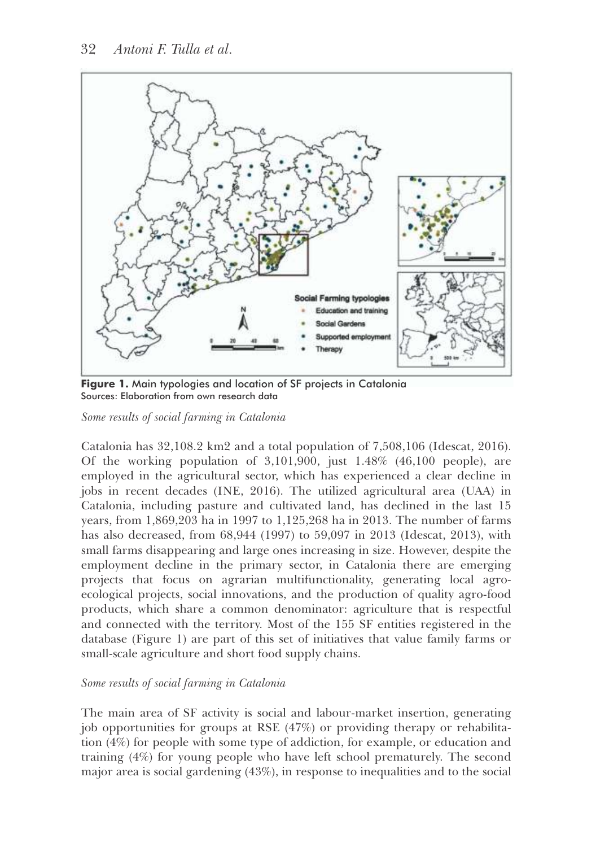

**Figure 1.** Main typologies and location of SF projects in Catalonia Sources: Elaboration from own research data

*Some results of social farming in Catalonia*

Catalonia has 32,108.2 km2 and a total population of 7,508,106 (Idescat, 2016). Of the working population of 3,101,900, just 1.48% (46,100 people), are employed in the agricultural sector, which has experienced a clear decline in jobs in recent decades (INE, 2016). The utilized agricultural area (UAA) in Catalonia, including pasture and cultivated land, has declined in the last 15 years, from 1,869,203 ha in 1997 to 1,125,268 ha in 2013. The number of farms has also decreased, from 68,944 (1997) to 59,097 in 2013 (Idescat, 2013), with small farms disappearing and large ones increasing in size. However, despite the employment decline in the primary sector, in Catalonia there are emerging projects that focus on agrarian multifunctionality, generating local agroecological projects, social innovations, and the production of quality agro-food products, which share a common denominator: agriculture that is respectful and connected with the territory. Most of the 155 SF entities registered in the database (Figure 1) are part of this set of initiatives that value family farms or small-scale agriculture and short food supply chains.

# *Some results of social farming in Catalonia*

The main area of SF activity is social and labour-market insertion, generating job opportunities for groups at RSE (47%) or providing therapy or rehabilitation (4%) for people with some type of addiction, for example, or education and training (4%) for young people who have left school prematurely. The second major area is social gardening (43%), in response to inequalities and to the social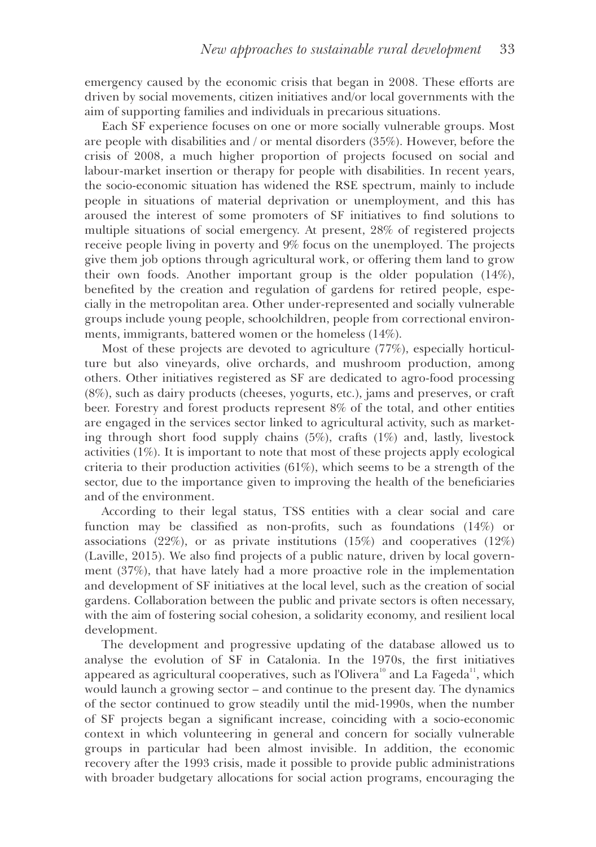emergency caused by the economic crisis that began in 2008. These efforts are driven by social movements, citizen initiatives and/or local governments with the aim of supporting families and individuals in precarious situations.

Each SF experience focuses on one or more socially vulnerable groups. Most are people with disabilities and / or mental disorders (35%). However, before the crisis of 2008, a much higher proportion of projects focused on social and labour-market insertion or therapy for people with disabilities. In recent years, the socio-economic situation has widened the RSE spectrum, mainly to include people in situations of material deprivation or unemployment, and this has aroused the interest of some promoters of SF initiatives to find solutions to multiple situations of social emergency. At present, 28% of registered projects receive people living in poverty and 9% focus on the unemployed. The projects give them job options through agricultural work, or offering them land to grow their own foods. Another important group is the older population (14%), benefited by the creation and regulation of gardens for retired people, especially in the metropolitan area. Other under-represented and socially vulnerable groups include young people, schoolchildren, people from correctional environments, immigrants, battered women or the homeless (14%).

Most of these projects are devoted to agriculture (77%), especially horticulture but also vineyards, olive orchards, and mushroom production, among others. Other initiatives registered as SF are dedicated to agro-food processing (8%), such as dairy products (cheeses, yogurts, etc.), jams and preserves, or craft beer. Forestry and forest products represent 8% of the total, and other entities are engaged in the services sector linked to agricultural activity, such as marketing through short food supply chains  $(5\%)$ , crafts  $(1\%)$  and, lastly, livestock activities (1%). It is important to note that most of these projects apply ecological criteria to their production activities  $(61\%)$ , which seems to be a strength of the sector, due to the importance given to improving the health of the beneficiaries and of the environment.

According to their legal status, TSS entities with a clear social and care function may be classified as non-profits, such as foundations  $(14%)$  or associations (22%), or as private institutions (15%) and cooperatives (12%) (Laville, 2015). We also find projects of a public nature, driven by local government (37%), that have lately had a more proactive role in the implementation and development of SF initiatives at the local level, such as the creation of social gardens. Collaboration between the public and private sectors is often necessary, with the aim of fostering social cohesion, a solidarity economy, and resilient local development.

The development and progressive updating of the database allowed us to analyse the evolution of SF in Catalonia. In the 1970s, the first initiatives appeared as agricultural cooperatives, such as l'Olivera<sup>10</sup> and La Fageda<sup>11</sup>, which would launch a growing sector – and continue to the present day. The dynamics of the sector continued to grow steadily until the mid-1990s, when the number of SF projects began a signicant increase, coinciding with a socio-economic context in which volunteering in general and concern for socially vulnerable groups in particular had been almost invisible. In addition, the economic recovery after the 1993 crisis, made it possible to provide public administrations with broader budgetary allocations for social action programs, encouraging the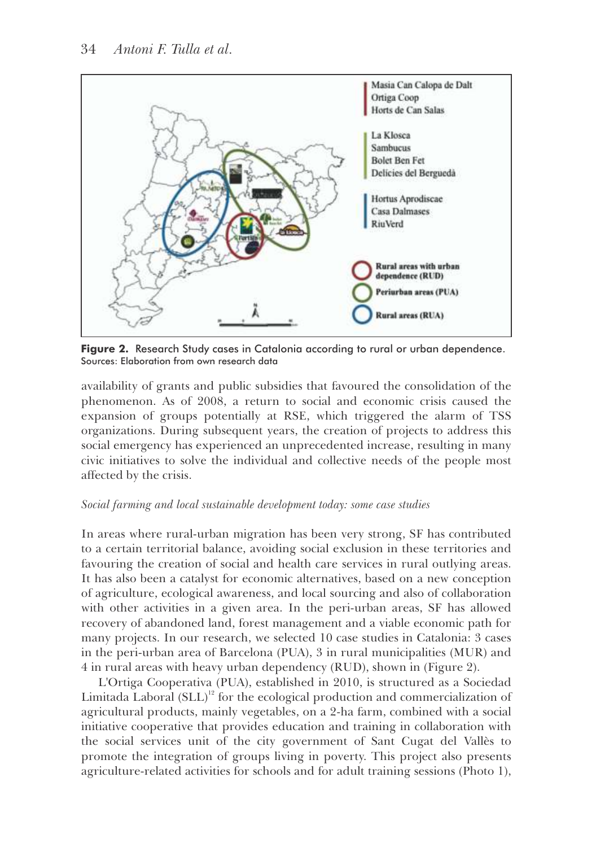

**Figure 2.** Research Study cases in Catalonia according to rural or urban dependence. Sources: Elaboration from own research data

availability of grants and public subsidies that favoured the consolidation of the phenomenon. As of 2008, a return to social and economic crisis caused the expansion of groups potentially at RSE, which triggered the alarm of TSS organizations. During subsequent years, the creation of projects to address this social emergency has experienced an unprecedented increase, resulting in many civic initiatives to solve the individual and collective needs of the people most affected by the crisis.

# *Social farming and local sustainable development today: some case studies*

In areas where rural-urban migration has been very strong, SF has contributed to a certain territorial balance, avoiding social exclusion in these territories and favouring the creation of social and health care services in rural outlying areas. It has also been a catalyst for economic alternatives, based on a new conception of agriculture, ecological awareness, and local sourcing and also of collaboration with other activities in a given area. In the peri-urban areas, SF has allowed recovery of abandoned land, forest management and a viable economic path for many projects. In our research, we selected 10 case studies in Catalonia: 3 cases in the peri-urban area of Barcelona (PUA), 3 in rural municipalities (MUR) and 4 in rural areas with heavy urban dependency (RUD), shown in (Figure 2).

L'Ortiga Cooperativa (PUA), established in 2010, is structured as a Sociedad Limitada Laboral  $(SLL)^{12}$  for the ecological production and commercialization of agricultural products, mainly vegetables, on a 2-ha farm, combined with a social initiative cooperative that provides education and training in collaboration with the social services unit of the city government of Sant Cugat del Vallès to promote the integration of groups living in poverty. This project also presents agriculture-related activities for schools and for adult training sessions (Photo 1),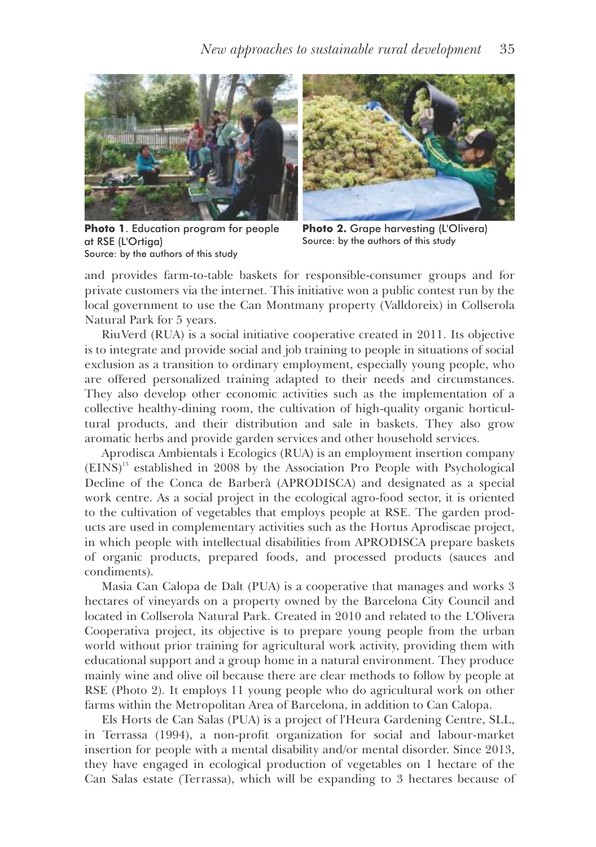



**Photo 1**. Education program for people at RSE (L'Ortiga) Source: by the authors of this study

**Photo 2.** Grape harvesting (L'Olivera) Source: by the authors of this study

and provides farm-to-table baskets for responsible-consumer groups and for private customers via the internet. This initiative won a public contest run by the local government to use the Can Montmany property (Valldoreix) in Collserola Natural Park for 5 years.

RiuVerd (RUA) is a social initiative cooperative created in 2011. Its objective is to integrate and provide social and job training to people in situations of social exclusion as a transition to ordinary employment, especially young people, who are offered personalized training adapted to their needs and circumstances. They also develop other economic activities such as the implementation of a collective healthy-dining room, the cultivation of high-quality organic horticultural products, and their distribution and sale in baskets. They also grow aromatic herbs and provide garden services and other household services.

Aprodisca Ambientals i Ecologics (RUA) is an employment insertion company  $(EINS)^{13}$  established in 2008 by the Association Pro People with Psychological Decline of the Conca de Barberà (APRODISCA) and designated as a special work centre. As a social project in the ecological agro-food sector, it is oriented to the cultivation of vegetables that employs people at RSE. The garden products are used in complementary activities such as the Hortus Aprodiscae project, in which people with intellectual disabilities from APRODISCA prepare baskets of organic products, prepared foods, and processed products (sauces and condiments).

Masia Can Calopa de Dalt (PUA) is a cooperative that manages and works 3 hectares of vineyards on a property owned by the Barcelona City Council and located in Collserola Natural Park. Created in 2010 and related to the L'Olivera Cooperativa project, its objective is to prepare young people from the urban world without prior training for agricultural work activity, providing them with educational support and a group home in a natural environment. They produce mainly wine and olive oil because there are clear methods to follow by people at RSE (Photo 2). It employs 11 young people who do agricultural work on other farms within the Metropolitan Area of Barcelona, in addition to Can Calopa.

Els Horts de Can Salas (PUA) is a project of l'Heura Gardening Centre, SLL, in Terrassa (1994), a non-profit organization for social and labour-market insertion for people with a mental disability and/or mental disorder. Since 2013, they have engaged in ecological production of vegetables on 1 hectare of the Can Salas estate (Terrassa), which will be expanding to 3 hectares because of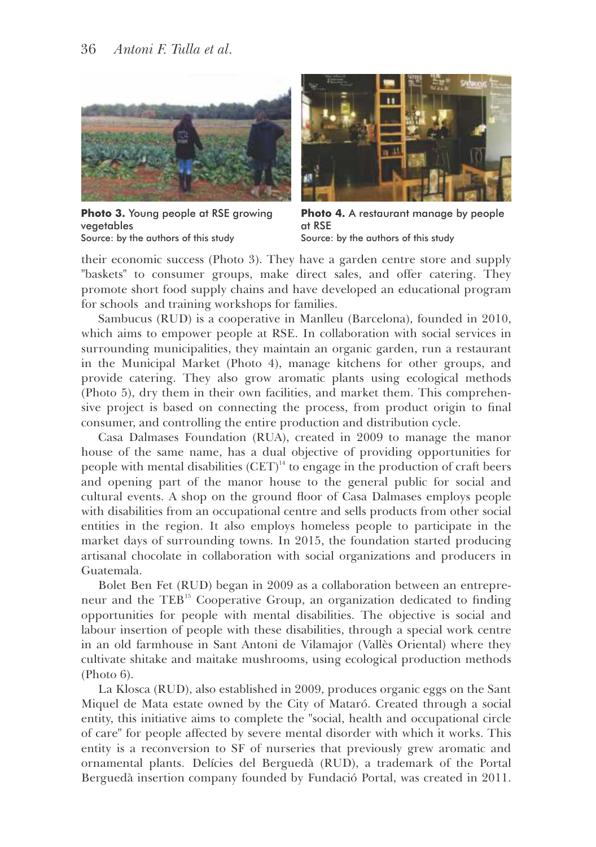

**Photo 3.** Young people at RSE growing vegetables Source: by the authors of this study



**Photo 4.** A restaurant manage by people at RSE Source: by the authors of this study

their economic success (Photo 3). They have a garden centre store and supply "baskets" to consumer groups, make direct sales, and offer catering. They promote short food supply chains and have developed an educational program for schools and training workshops for families.

Sambucus (RUD) is a cooperative in Manlleu (Barcelona), founded in 2010, which aims to empower people at RSE. In collaboration with social services in surrounding municipalities, they maintain an organic garden, run a restaurant in the Municipal Market (Photo 4), manage kitchens for other groups, and provide catering. They also grow aromatic plants using ecological methods (Photo 5), dry them in their own facilities, and market them. This comprehensive project is based on connecting the process, from product origin to final consumer, and controlling the entire production and distribution cycle.

Casa Dalmases Foundation (RUA), created in 2009 to manage the manor house of the same name, has a dual objective of providing opportunities for people with mental disabilities  $(CET)^{14}$  to engage in the production of craft beers and opening part of the manor house to the general public for social and cultural events. A shop on the ground floor of Casa Dalmases employs people with disabilities from an occupational centre and sells products from other social entities in the region. It also employs homeless people to participate in the market days of surrounding towns. In 2015, the foundation started producing artisanal chocolate in collaboration with social organizations and producers in Guatemala.

Bolet Ben Fet (RUD) began in 2009 as a collaboration between an entrepreneur and the TEB<sup>15</sup> Cooperative Group, an organization dedicated to finding opportunities for people with mental disabilities. The objective is social and labour insertion of people with these disabilities, through a special work centre in an old farmhouse in Sant Antoni de Vilamajor (Vallès Oriental) where they cultivate shitake and maitake mushrooms, using ecological production methods (Photo 6).

La Klosca (RUD), also established in 2009, produces organic eggs on the Sant Miquel de Mata estate owned by the City of Mataró. Created through a social entity, this initiative aims to complete the "social, health and occupational circle of care" for people affected by severe mental disorder with which it works. This entity is a reconversion to SF of nurseries that previously grew aromatic and ornamental plants. Delícies del Berguedà (RUD), a trademark of the Portal Berguedà insertion company founded by Fundació Portal, was created in 2011.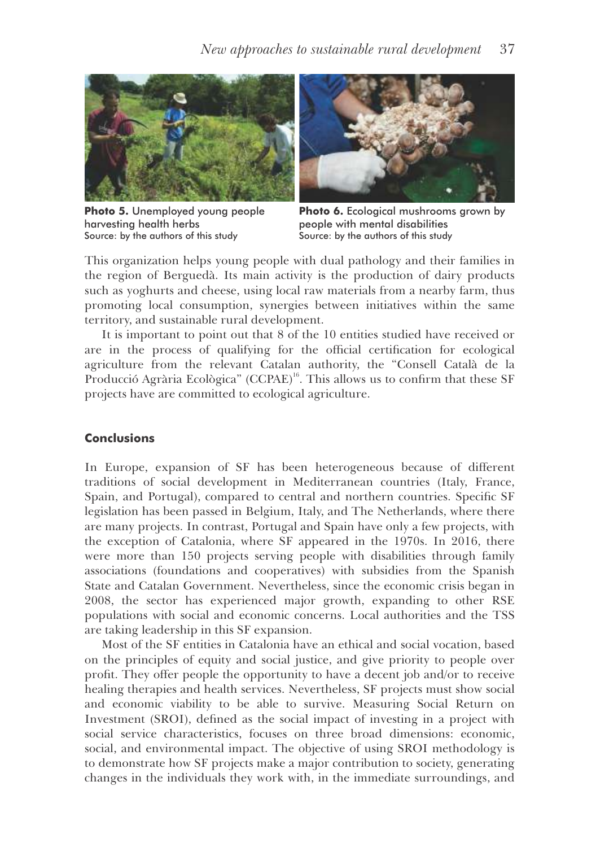

**Photo 5.** Unemployed young people harvesting health herbs Source: by the authors of this study



**Photo 6.** Ecological mushrooms grown by people with mental disabilities Source: by the authors of this study

This organization helps young people with dual pathology and their families in the region of Berguedà. Its main activity is the production of dairy products such as yoghurts and cheese, using local raw materials from a nearby farm, thus promoting local consumption, synergies between initiatives within the same territory, and sustainable rural development.

It is important to point out that 8 of the 10 entities studied have received or are in the process of qualifying for the official certification for ecological agriculture from the relevant Catalan authority, the "Consell Català de la Producció Agrària Ecològica" (CCPAE)<sup>16</sup>. This allows us to confirm that these SF projects have are committed to ecological agriculture.

# **Conclusions**

In Europe, expansion of SF has been heterogeneous because of different traditions of social development in Mediterranean countries (Italy, France, Spain, and Portugal), compared to central and northern countries. Specific SF legislation has been passed in Belgium, Italy, and The Netherlands, where there are many projects. In contrast, Portugal and Spain have only a few projects, with the exception of Catalonia, where SF appeared in the 1970s. In 2016, there were more than 150 projects serving people with disabilities through family associations (foundations and cooperatives) with subsidies from the Spanish State and Catalan Government. Nevertheless, since the economic crisis began in 2008, the sector has experienced major growth, expanding to other RSE populations with social and economic concerns. Local authorities and the TSS are taking leadership in this SF expansion.

Most of the SF entities in Catalonia have an ethical and social vocation, based on the principles of equity and social justice, and give priority to people over profit. They offer people the opportunity to have a decent job and/or to receive healing therapies and health services. Nevertheless, SF projects must show social and economic viability to be able to survive. Measuring Social Return on Investment (SROI), defined as the social impact of investing in a project with social service characteristics, focuses on three broad dimensions: economic, social, and environmental impact. The objective of using SROI methodology is to demonstrate how SF projects make a major contribution to society, generating changes in the individuals they work with, in the immediate surroundings, and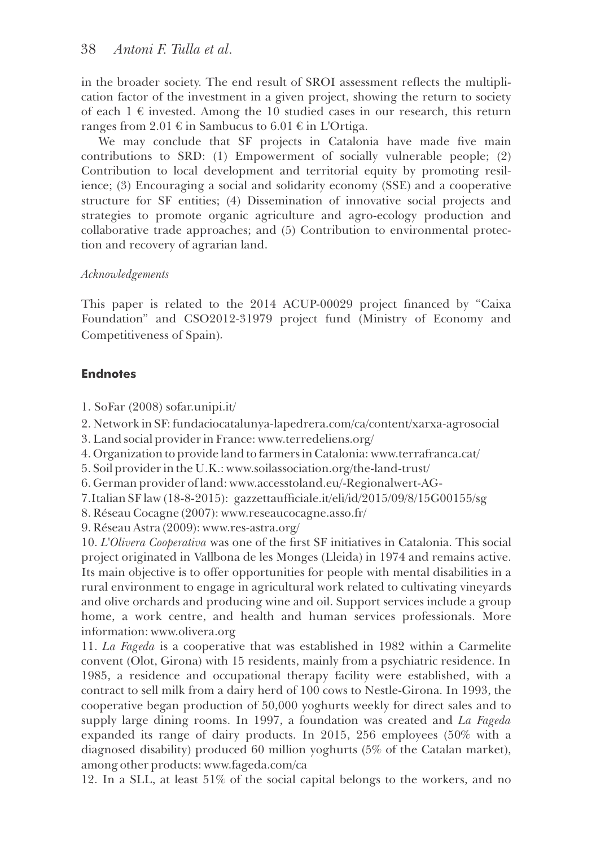in the broader society. The end result of SROI assessment reflects the multiplication factor of the investment in a given project, showing the return to society of each  $1 \in$  invested. Among the 10 studied cases in our research, this return ranges from 2.01  $\epsilon$  in Sambucus to 6.01  $\epsilon$  in L'Ortiga.

We may conclude that SF projects in Catalonia have made five main contributions to SRD: (1) Empowerment of socially vulnerable people; (2) Contribution to local development and territorial equity by promoting resilience; (3) Encouraging a social and solidarity economy (SSE) and a cooperative structure for SF entities; (4) Dissemination of innovative social projects and strategies to promote organic agriculture and agro-ecology production and collaborative trade approaches; and (5) Contribution to environmental protection and recovery of agrarian land.

# *Acknowledgements*

This paper is related to the 2014 ACUP-00029 project financed by "Caixa" Foundation" and CSO2012-31979 project fund (Ministry of Economy and Competitiveness of Spain).

# **Endnotes**

1. SoFar (2008) sofar.unipi.it/

2. Network in SF: fundaciocatalunya-lapedrera.com/ca/content/xarxa-agrosocial

3. Land social provider in France: www.terredeliens.org/

4. Organization to provide land to farmers in Catalonia: www.terrafranca.cat/

5. Soil provider in the U.K.: www.soilassociation.org/the-land-trust/

6. German provider of land: www.accesstoland.eu/-Regionalwert-AG-

7.Italian SF law (18-8-2015): gazzettaufficiale.it/eli/id/2015/09/8/15G00155/sg

8. Réseau Cocagne (2007): www.reseaucocagne.asso.fr/

9. Réseau Astra (2009): www.res-astra.org/

10. *L'Olivera Cooperativa* was one of the first SF initiatives in Catalonia. This social project originated in Vallbona de les Monges (Lleida) in 1974 and remains active. Its main objective is to offer opportunities for people with mental disabilities in a rural environment to engage in agricultural work related to cultivating vineyards and olive orchards and producing wine and oil. Support services include a group home, a work centre, and health and human services professionals. More information: www.olivera.org

11. *La Fageda* is a cooperative that was established in 1982 within a Carmelite convent (Olot, Girona) with 15 residents, mainly from a psychiatric residence. In 1985, a residence and occupational therapy facility were established, with a contract to sell milk from a dairy herd of 100 cows to Nestle-Girona. In 1993, the cooperative began production of 50,000 yoghurts weekly for direct sales and to supply large dining rooms. In 1997, a foundation was created and *La Fageda* expanded its range of dairy products. In 2015, 256 employees (50% with a diagnosed disability) produced 60 million yoghurts (5% of the Catalan market), among other products: www.fageda.com/ca

12. In a SLL, at least 51% of the social capital belongs to the workers, and no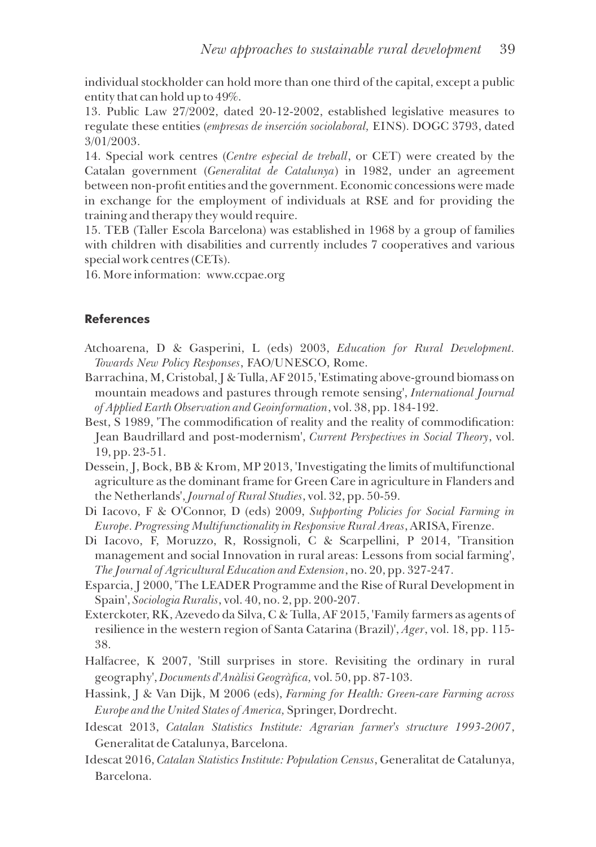individual stockholder can hold more than one third of the capital, except a public entity that can hold up to 49%.

13. Public Law 27/2002, dated 20-12-2002, established legislative measures to regulate these entities (*empresas de inserción sociolaboral,* EINS). DOGC 3793, dated 3/01/2003.

14. Special work centres (*Centre especial de treball*, or CET) were created by the Catalan government (*Generalitat de Catalunya*) in 1982, under an agreement between non-profit entities and the government. Economic concessions were made in exchange for the employment of individuals at RSE and for providing the training and therapy they would require.

15. TEB (Taller Escola Barcelona) was established in 1968 by a group of families with children with disabilities and currently includes 7 cooperatives and various special work centres (CETs).

16. More information: www.ccpae.org

### **References**

- Atchoarena, D & Gasperini, L (eds) 2003, *Education for Rural Development. Towards New Policy Responses*, FAO/UNESCO, Rome.
- Barrachina, M, Cristobal, J & Tulla, AF 2015, 'Estimating above-ground biomass on mountain meadows and pastures through remote sensing', *International Journal of Applied Earth Observation and Geoinformation*, vol. 38, pp. 184-192.
- Best, S 1989, 'The commodification of reality and the reality of commodification: Jean Baudrillard and post-modernism', *Current Perspectives in Social Theory*, vol. 19, pp. 23-51.
- Dessein, J, Bock, BB & Krom, MP 2013, 'Investigating the limits of multifunctional agriculture as the dominant frame for Green Care in agriculture in Flanders and the Netherlands', *Journal of Rural Studies*, vol. 32, pp. 50-59.
- Di Iacovo, F & O'Connor, D (eds) 2009, *Supporting Policies for Social Farming in Europe. Progressing Multifunctionality in Responsive Rural Areas*, ARISA, Firenze.
- Di Iacovo, F, Moruzzo, R, Rossignoli, C & Scarpellini, P 2014, 'Transition management and social Innovation in rural areas: Lessons from social farming', *The Journal of Agricultural Education and Extension*, no. 20, pp. 327-247.
- Esparcia, J 2000, 'The LEADER Programme and the Rise of Rural Development in Spain', *Sociologia Ruralis*, vol. 40, no. 2, pp. 200-207.
- Exterckoter, RK, Azevedo da Silva, C & Tulla, AF 2015, 'Family farmers as agents of resilience in the western region of Santa Catarina (Brazil)', *Ager*, vol. 18, pp. 115- 38.
- Halfacree, K 2007, 'Still surprises in store. Revisiting the ordinary in rural geography', *Documents d'Anàlisi Geogràfica*, vol. 50, pp. 87-103.
- Hassink, J & Van Dijk, M 2006 (eds), *Farming for Health: Green-care Farming across Europe and the United States of America,* Springer, Dordrecht.
- Idescat 2013, *Catalan Statistics Institute: Agrarian farmer's structure 1993-2007*, Generalitat de Catalunya, Barcelona.
- Idescat 2016, *Catalan Statistics Institute: Population Census*, Generalitat de Catalunya, Barcelona.